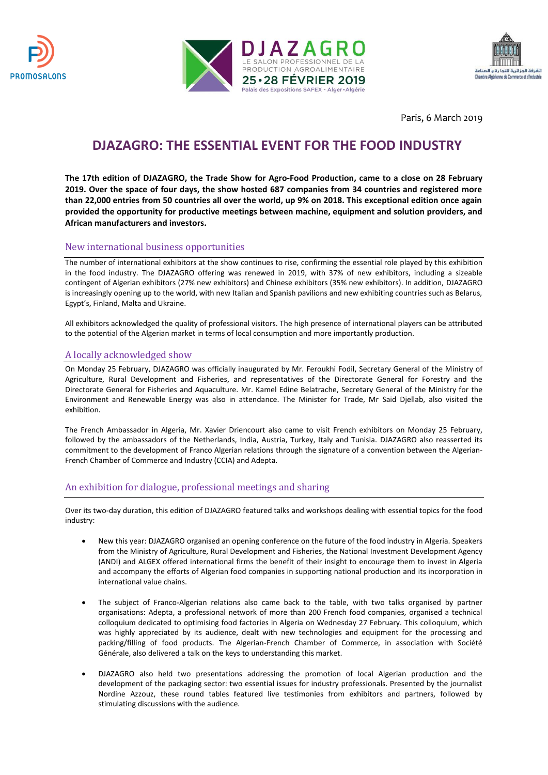





Paris, 6 March 2019

# **DJAZAGRO: THE ESSENTIAL EVENT FOR THE FOOD INDUSTRY**

**The 17th edition of DJAZAGRO, the Trade Show for Agro-Food Production, came to a close on 28 February 2019. Over the space of four days, the show hosted 687 companies from 34 countries and registered more than 22,000 entries from 50 countries all over the world, up 9% on 2018. This exceptional edition once again provided the opportunity for productive meetings between machine, equipment and solution providers, and African manufacturers and investors.** 

## New international business opportunities

The number of international exhibitors at the show continues to rise, confirming the essential role played by this exhibition in the food industry. The DJAZAGRO offering was renewed in 2019, with 37% of new exhibitors, including a sizeable contingent of Algerian exhibitors (27% new exhibitors) and Chinese exhibitors (35% new exhibitors). In addition, DJAZAGRO is increasingly opening up to the world, with new Italian and Spanish pavilions and new exhibiting countries such as Belarus, Egypt's, Finland, Malta and Ukraine.

All exhibitors acknowledged the quality of professional visitors. The high presence of international players can be attributed to the potential of the Algerian market in terms of local consumption and more importantly production.

## A locally acknowledged show

On Monday 25 February, DJAZAGRO was officially inaugurated by Mr. Feroukhi Fodil, Secretary General of the Ministry of Agriculture, Rural Development and Fisheries, and representatives of the Directorate General for Forestry and the Directorate General for Fisheries and Aquaculture. Mr. Kamel Edine Belatrache, Secretary General of the Ministry for the Environment and Renewable Energy was also in attendance. The Minister for Trade, Mr Said Djellab, also visited the exhibition.

The French Ambassador in Algeria, Mr. Xavier Driencourt also came to visit French exhibitors on Monday 25 February, followed by the ambassadors of the Netherlands, India, Austria, Turkey, Italy and Tunisia. DJAZAGRO also reasserted its commitment to the development of Franco Algerian relations through the signature of a convention between the Algerian-French Chamber of Commerce and Industry (CCIA) and Adepta.

## An exhibition for dialogue, professional meetings and sharing

Over its two-day duration, this edition of DJAZAGRO featured talks and workshops dealing with essential topics for the food industry:

- New this year: DJAZAGRO organised an opening conference on the future of the food industry in Algeria. Speakers from the Ministry of Agriculture, Rural Development and Fisheries, the National Investment Development Agency (ANDI) and ALGEX offered international firms the benefit of their insight to encourage them to invest in Algeria and accompany the efforts of Algerian food companies in supporting national production and its incorporation in international value chains.
- The subject of Franco-Algerian relations also came back to the table, with two talks organised by partner organisations: Adepta, a professional network of more than 200 French food companies, organised a technical colloquium dedicated to optimising food factories in Algeria on Wednesday 27 February. This colloquium, which was highly appreciated by its audience, dealt with new technologies and equipment for the processing and packing/filling of food products. The Algerian-French Chamber of Commerce, in association with Société Générale, also delivered a talk on the keys to understanding this market.
- DJAZAGRO also held two presentations addressing the promotion of local Algerian production and the development of the packaging sector: two essential issues for industry professionals. Presented by the journalist Nordine Azzouz, these round tables featured live testimonies from exhibitors and partners, followed by stimulating discussions with the audience.